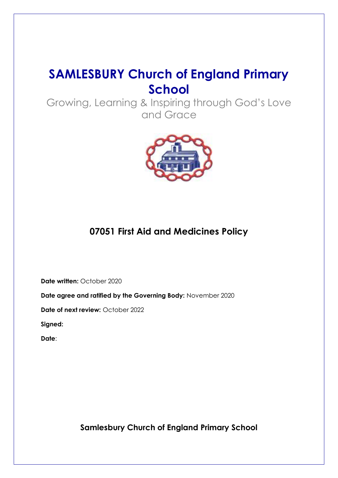# **SAMLESBURY Church of England Primary School**

Growing, Learning & Inspiring through God's Love and Grace



## **07051 First Aid and Medicines Policy**

**Date written:** October 2020

**Date agree and ratified by the Governing Body:** November 2020

**Date of next review:** October 2022

**Signed:** 

**Date**:

**Samlesbury Church of England Primary School**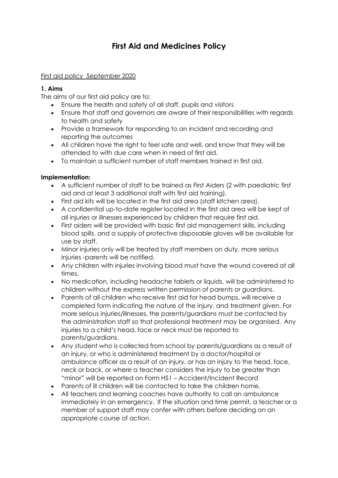## **First Aid and Medicines Policy**

#### [First aid policy September 2020](http://www.christchurch-pri.oldham.sch.uk/first-aid-policy/)

#### **1. Aims**

The aims of our first aid policy are to:

- Ensure the health and safety of all staff, pupils and visitors
- Ensure that staff and governors are aware of their responsibilities with regards to health and safety
- Provide a framework for responding to an incident and recording and reporting the outcomes
- All children have the right to feel safe and well, and know that they will be attended to with due care when in need of first aid.
- To maintain a sufficient number of staff members trained in first aid.

#### **Implementation:**

- A sufficient number of staff to be trained as First Aiders (2 with paediatric first aid and at least 3 additional staff with first aid training).
- First aid kits will be located in the first aid area (staff kitchen area).
- A confidential up-to-date register located in the first aid area will be kept of all injuries or illnesses experienced by children that require first aid.
- First aiders will be provided with basic first aid management skills, including blood spills, and a supply of protective disposable gloves will be available for use by staff.
- Minor injuries only will be treated by staff members on duty, more serious injuries -parents will be notified.
- Any children with injuries involving blood must have the wound covered at all times.
- No medication, including headache tablets or liquids, will be administered to children without the express written permission of parents or guardians.
- Parents of all children who receive first aid for head bumps, will receive a completed form indicating the nature of the injury, and treatment given. For more serious injuries/illnesses, the parents/guardians must be contacted by the administration staff so that professional treatment may be organised. Any injuries to a child's head, face or neck must be reported to parents/guardians.
- Any student who is collected from school by parents/guardians as a result of an injury, or who is administered treatment by a doctor/hospital or ambulance officer as a result of an injury, or has an injury to the head, face, neck or back, or where a teacher considers the injury to be greater than "minor" will be reported on Form HS1 – Accident/Incident Record
- Parents of ill children will be contacted to take the children home.
- All teachers and learning coaches have authority to call an ambulance immediately in an emergency. If the situation and time permit, a teacher or a member of support staff may confer with others before deciding on an appropriate course of action.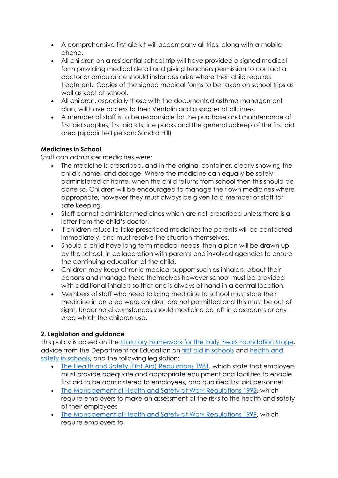- A comprehensive first aid kit will accompany all trips, along with a mobile phone.
- All children on a residential school trip will have provided a signed medical form providing medical detail and giving teachers permission to contact a doctor or ambulance should instances arise where their child requires treatment. Copies of the signed medical forms to be taken on school trips as well as kept at school.
- All children, especially those with the documented asthma management plan, will have access to their Ventolin and a spacer at all times.
- A member of staff is to be responsible for the purchase and maintenance of first aid supplies, first aid kits, ice packs and the general upkeep of the first aid area (appointed person: Sandra Hill)

## **Medicines in School**

Staff can administer medicines were:

- The medicine is prescribed, and in the original container, clearly showing the child's name, and dosage. Where the medicine can equally be safely administered at home, when the child returns from school then this should be done so. Children will be encouraged to manage their own medicines where appropriate, however they must always be given to a member of staff for safe keeping.
- Staff cannot administer medicines which are not prescribed unless there is a letter from the child's doctor.
- If children refuse to take prescribed medicines the parents will be contacted immediately, and must resolve the situation themselves.
- Should a child have long term medical needs, then a plan will be drawn up by the school, in collaboration with parents and involved agencies to ensure the continuing education of the child.
- Children may keep chronic medical support such as inhalers, about their persons and manage these themselves however school must be provided with additional inhalers so that one is always at hand in a central location.
- Members of staff who need to bring medicine to school must store their medicine in an area were children are not permitted and this must be out of sight. Under no circumstances should medicine be left in classrooms or any area which the children use.

## **2. Legislation and guidance**

This policy is based on the [Statutory Framework for the Early Years Foundation Stage,](https://www.gov.uk/government/uploads/system/uploads/attachment_data/file/596629/EYFS_STATUTORY_FRAMEWORK_2017.pdf) advice from the Department for Education on [first aid in schools](https://www.gov.uk/government/publications/first-aid-in-schools) and health and [safety in schools,](https://www.gov.uk/government/publications/health-and-safety-advice-for-schools) and the following legislation:

- [The Health and Safety \(First Aid\) Regulations 1981,](http://www.legislation.gov.uk/uksi/1981/917/regulation/3/made) which state that employers must provide adequate and appropriate equipment and facilities to enable first aid to be administered to employees, and qualified first aid personnel
- [The Management of Health and Safety at Work Regulations 1992,](http://www.legislation.gov.uk/uksi/1992/2051/regulation/3/made) which require employers to make an assessment of the risks to the health and safety of their employees
- [The Management of Health and Safety at Work Regulations 1999,](http://www.legislation.gov.uk/uksi/1999/3242/contents/made) which require employers to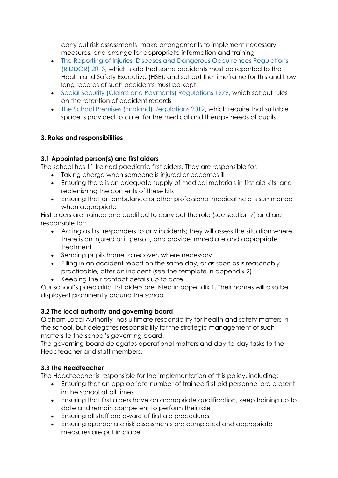carry out risk assessments, make arrangements to implement necessary measures, and arrange for appropriate information and training

- The Reporting of Injuries, Diseases and Dangerous Occurrences Regulations [\(RIDDOR\) 2013,](http://www.legislation.gov.uk/uksi/2013/1471/schedule/1/paragraph/1/made) which state that some accidents must be reported to the Health and Safety Executive (HSE), and set out the timeframe for this and how long records of such accidents must be kept
- [Social Security \(Claims and Payments\) Regulations 1979,](http://www.legislation.gov.uk/uksi/1979/628) which set out rules on the retention of accident records
- [The School Premises \(England\) Regulations 2012,](http://www.legislation.gov.uk/uksi/2012/1943/regulation/5/made) which require that suitable space is provided to cater for the medical and therapy needs of pupils

## **3. Roles and responsibilities**

## **3.1 Appointed person(s) and first aiders**

The school has 11 trained paediatric first aiders. They are responsible for:

- Taking charge when someone is injured or becomes ill
- Ensuring there is an adequate supply of medical materials in first aid kits, and replenishing the contents of these kits
- Ensuring that an ambulance or other professional medical help is summoned when appropriate

First aiders are trained and qualified to carry out the role (see section 7) and are responsible for:

- Acting as first responders to any incidents; they will assess the situation where there is an injured or ill person, and provide immediate and appropriate treatment
- Sending pupils home to recover, where necessary
- Filling in an accident report on the same day, or as soon as is reasonably practicable, after an incident (see the template in appendix 2)
- Keeping their contact details up to date

Our school's paediatric first aiders are listed in appendix 1. Their names will also be displayed prominently around the school.

## **3.2 The local authority and governing board**

Oldham Local Authority has ultimate responsibility for health and safety matters in the school, but delegates responsibility for the strategic management of such matters to the school's governing board.

The governing board delegates operational matters and day-to-day tasks to the Headteacher and staff members.

## **3.3 The Headteacher**

The Headteacher is responsible for the implementation of this policy, including:

- Ensuring that an appropriate number of trained first aid personnel are present in the school at all times
- Ensuring that first aiders have an appropriate qualification, keep training up to date and remain competent to perform their role
- Ensuring all staff are aware of first aid procedures
- Ensuring appropriate risk assessments are completed and appropriate measures are put in place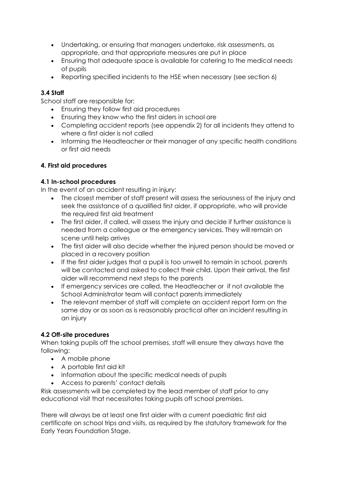- Undertaking, or ensuring that managers undertake, risk assessments, as appropriate, and that appropriate measures are put in place
- Ensuring that adequate space is available for catering to the medical needs of pupils
- Reporting specified incidents to the HSE when necessary (see section 6)

## **3.4 Staff**

School staff are responsible for:

- Ensuring they follow first aid procedures
- Ensuring they know who the first aiders in school are
- Completing accident reports (see appendix 2) for all incidents they attend to where a first aider is not called
- Informing the Headteacher or their manager of any specific health conditions or first aid needs

## **4. First aid procedures**

## **4.1 In-school procedures**

In the event of an accident resulting in injury:

- The closest member of staff present will assess the seriousness of the injury and seek the assistance of a qualified first aider, if appropriate, who will provide the required first aid treatment
- The first aider, if called, will assess the injury and decide if further assistance is needed from a colleague or the emergency services. They will remain on scene until help arrives
- The first aider will also decide whether the injured person should be moved or placed in a recovery position
- If the first aider judges that a pupil is too unwell to remain in school, parents will be contacted and asked to collect their child. Upon their arrival, the first aider will recommend next steps to the parents
- If emergency services are called, the Headteacher or if not available the School Administrator team will contact parents immediately
- The relevant member of staff will complete an accident report form on the same day or as soon as is reasonably practical after an incident resulting in an injury

## **4.2 Off-site procedures**

When taking pupils off the school premises, staff will ensure they always have the following:

- A mobile phone
- A portable first aid kit
- Information about the specific medical needs of pupils
- Access to parents' contact details

Risk assessments will be completed by the lead member of staff prior to any educational visit that necessitates taking pupils off school premises.

There will always be at least one first aider with a current paediatric first aid certificate on school trips and visits, as required by the statutory framework for the Early Years Foundation Stage.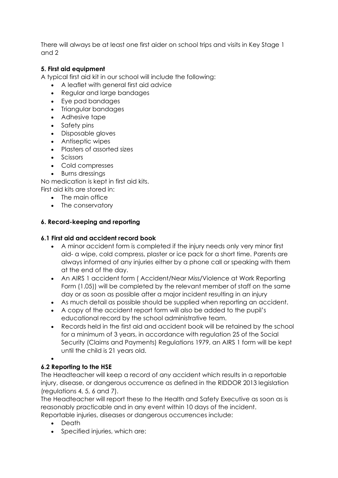There will always be at least one first aider on school trips and visits in Key Stage 1 and 2

#### **5. First aid equipment**

A typical first aid kit in our school will include the following:

- A leaflet with general first aid advice
- Regular and large bandages
- Eye pad bandages
- Triangular bandages
- Adhesive tape
- Safety pins
- Disposable gloves
- Antiseptic wipes
- Plasters of assorted sizes
- Scissors
- Cold compresses
- Burns dressings

No medication is kept in first aid kits. First aid kits are stored in:

- The main office
- The conservatory

## **6. Record-keeping and reporting**

#### **6.1 First aid and accident record book**

- A minor accident form is completed if the injury needs only very minor first aid- a wipe, cold compress, plaster or ice pack for a short time. Parents are always informed of any injuries either by a phone call or speaking with them at the end of the day.
- An AIRS 1 accident form ( Accident/Near Miss/Violence at Work Reporting Form (1.05)) will be completed by the relevant member of staff on the same day or as soon as possible after a major incident resulting in an injury
- As much detail as possible should be supplied when reporting an accident.
- A copy of the accident report form will also be added to the pupil's educational record by the school administrative team.
- Records held in the first aid and accident book will be retained by the school for a minimum of 3 years, in accordance with regulation 25 of the Social Security (Claims and Payments) Regulations 1979, an AIRS 1 form will be kept until the child is 21 years old.

#### • **6.2 Reporting to the HSE**

The Headteacher will keep a record of any accident which results in a reportable injury, disease, or dangerous occurrence as defined in the RIDDOR 2013 legislation (regulations 4, 5, 6 and 7).

The Headteacher will report these to the Health and Safety Executive as soon as is reasonably practicable and in any event within 10 days of the incident. Reportable injuries, diseases or dangerous occurrences include:

- Death
- Specified injuries, which are: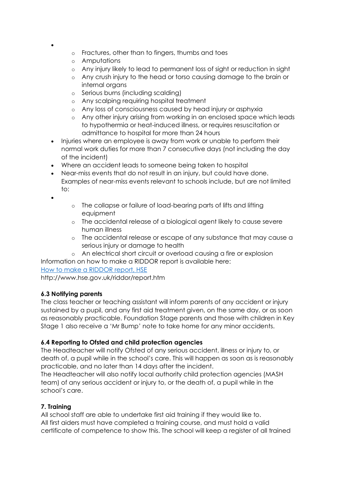- •
- o Fractures, other than to fingers, thumbs and toes
- o Amputations
- o Any injury likely to lead to permanent loss of sight or reduction in sight
- o Any crush injury to the head or torso causing damage to the brain or internal organs
- o Serious burns (including scalding)
- o Any scalping requiring hospital treatment
- o Any loss of consciousness caused by head injury or asphyxia
- o Any other injury arising from working in an enclosed space which leads to hypothermia or heat-induced illness, or requires resuscitation or admittance to hospital for more than 24 hours
- Injuries where an employee is away from work or unable to perform their normal work duties for more than 7 consecutive days (not including the day of the incident)
- Where an accident leads to someone being taken to hospital
- Near-miss events that do not result in an injury, but could have done. Examples of near-miss events relevant to schools include, but are not limited to:
- •
- o The collapse or failure of load-bearing parts of lifts and lifting equipment
- o The accidental release of a biological agent likely to cause severe human illness
- o The accidental release or escape of any substance that may cause a serious injury or damage to health
- o An electrical short circuit or overload causing a fire or explosion

Information on how to make a RIDDOR report is available here:

[How to make a RIDDOR report, HSE](http://www.hse.gov.uk/riddor/report.htm)

http://www.hse.gov.uk/riddor/report.htm

#### **6.3 Notifying parents**

The class teacher or teaching assistant will inform parents of any accident or injury sustained by a pupil, and any first aid treatment given, on the same day, or as soon as reasonably practicable. Foundation Stage parents and those with children in Key Stage 1 also receive a 'Mr Bump' note to take home for any minor accidents.

## **6.4 Reporting to Ofsted and child protection agencies**

The Headteacher will notify Ofsted of any serious accident, illness or injury to, or death of, a pupil while in the school's care. This will happen as soon as is reasonably practicable, and no later than 14 days after the incident.

The Headteacher will also notify local authority child protection agencies (MASH team) of any serious accident or injury to, or the death of, a pupil while in the school's care.

## **7. Training**

All school staff are able to undertake first aid training if they would like to. All first aiders must have completed a training course, and must hold a valid certificate of competence to show this. The school will keep a register of all trained